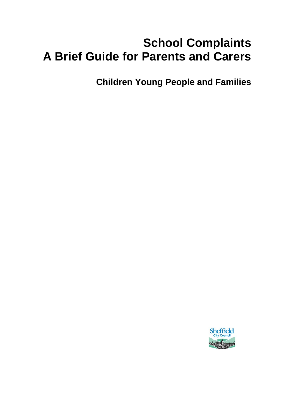# **School Complaints A Brief Guide for Parents and Carers**

**Children Young People and Families**

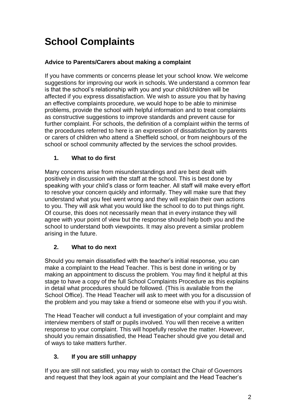# **School Complaints**

## **Advice to Parents/Carers about making a complaint**

If you have comments or concerns please let your school know. We welcome suggestions for improving our work in schools. We understand a common fear is that the school's relationship with you and your child/children will be affected if you express dissatisfaction. We wish to assure you that by having an effective complaints procedure, we would hope to be able to minimise problems, provide the school with helpful information and to treat complaints as constructive suggestions to improve standards and prevent cause for further complaint. For schools, the definition of a complaint within the terms of the procedures referred to here is an expression of dissatisfaction by parents or carers of children who attend a Sheffield school, or from neighbours of the school or school community affected by the services the school provides.

## **1. What to do first**

Many concerns arise from misunderstandings and are best dealt with positively in discussion with the staff at the school. This is best done by speaking with your child's class or form teacher. All staff will make every effort to resolve your concern quickly and informally. They will make sure that they understand what you feel went wrong and they will explain their own actions to you. They will ask what you would like the school to do to put things right. Of course, this does not necessarily mean that in every instance they will agree with your point of view but the response should help both you and the school to understand both viewpoints. It may also prevent a similar problem arising in the future.

## **2. What to do next**

Should you remain dissatisfied with the teacher's initial response, you can make a complaint to the Head Teacher. This is best done in writing or by making an appointment to discuss the problem. You may find it helpful at this stage to have a copy of the full School Complaints Procedure as this explains in detail what procedures should be followed. (This is available from the School Office). The Head Teacher will ask to meet with you for a discussion of the problem and you may take a friend or someone else with you if you wish.

The Head Teacher will conduct a full investigation of your complaint and may interview members of staff or pupils involved. You will then receive a written response to your complaint. This will hopefully resolve the matter. However, should you remain dissatisfied, the Head Teacher should give you detail and of ways to take matters further.

## **3. If you are still unhappy**

If you are still not satisfied, you may wish to contact the Chair of Governors and request that they look again at your complaint and the Head Teacher's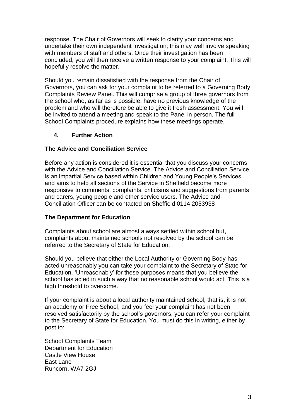response. The Chair of Governors will seek to clarify your concerns and undertake their own independent investigation; this may well involve speaking with members of staff and others. Once their investigation has been concluded, you will then receive a written response to your complaint. This will hopefully resolve the matter.

Should you remain dissatisfied with the response from the Chair of Governors, you can ask for your complaint to be referred to a Governing Body Complaints Review Panel. This will comprise a group of three governors from the school who, as far as is possible, have no previous knowledge of the problem and who will therefore be able to give it fresh assessment. You will be invited to attend a meeting and speak to the Panel in person. The full School Complaints procedure explains how these meetings operate.

## **4. Further Action**

## **The Advice and Conciliation Service**

Before any action is considered it is essential that you discuss your concerns with the Advice and Conciliation Service. The Advice and Conciliation Service is an impartial Service based within Children and Young People's Services and aims to help all sections of the Service in Sheffield become more responsive to comments, complaints, criticisms and suggestions from parents and carers, young people and other service users. The Advice and Conciliation Officer can be contacted on Sheffield 0114 2053938

#### **The Department for Education**

Complaints about school are almost always settled within school but, complaints about maintained schools not resolved by the school can be referred to the Secretary of State for Education.

Should you believe that either the Local Authority or Governing Body has acted unreasonably you can take your complaint to the Secretary of State for Education. 'Unreasonably' for these purposes means that you believe the school has acted in such a way that no reasonable school would act. This is a high threshold to overcome.

If your complaint is about a local authority maintained school, that is, it is not an academy or Free School, and you feel your complaint has not been resolved satisfactorily by the school's governors, you can refer your complaint to the Secretary of State for Education. You must do this in writing, either by post to:

School Complaints Team Department for Education Castle View House East Lane Runcorn. WA7 2GJ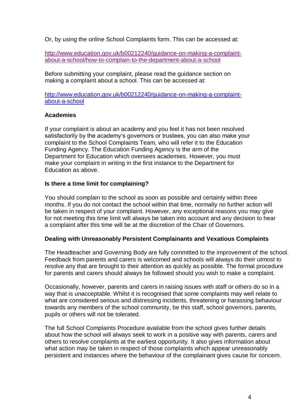Or, by using the online School Complaints form. This can be accessed at:

[http://www.education.gov.uk/b00212240/guidance-on-making-a-complaint](http://www.education.gov.uk/b00212240/guidance-on-making-a-complaint-about-a-school/how-to-complain-to-the-department-about-a-school)[about-a-school/how-to-complain-to-the-department-about-a-school](http://www.education.gov.uk/b00212240/guidance-on-making-a-complaint-about-a-school/how-to-complain-to-the-department-about-a-school)

Before submitting your complaint, please read the guidance section on making a complaint about a school. This can be accessed at:

[http://www.education.gov.uk/b00212240/guidance-on-making-a-complaint](http://www.education.gov.uk/b00212240/guidance-on-making-a-complaint-about-a-school)[about-a-school](http://www.education.gov.uk/b00212240/guidance-on-making-a-complaint-about-a-school)

#### **Academies**

If your complaint is about an academy and you feel it has not been resolved satisfactorily by the academy's governors or trustees, you can also make your complaint to the School Complaints Team, who will refer it to the Education Funding Agency. The Education Funding Agency is the arm of the Department for Education which oversees academies. However, you must make your complaint in writing in the first instance to the Department for Education as above.

#### **Is there a time limit for complaining?**

You should complain to the school as soon as possible and certainly within three months. If you do not contact the school within that time, normally no further action will be taken in respect of your complaint. However, any exceptional reasons you may give for not meeting this time limit will always be taken into account and any decision to hear a complaint after this time will be at the discretion of the Chair of Governors.

#### **Dealing with Unreasonably Persistent Complainants and Vexatious Complaints**

The Headteacher and Governing Body are fully committed to the improvement of the school. Feedback from parents and carers is welcomed and schools will always do their utmost to resolve any that are brought to their attention as quickly as possible. The formal procedure for parents and carers should always be followed should you wish to make a complaint.

Occasionally, however, parents and carers in raising issues with staff or others do so in a way that is unacceptable. Whilst it is recognised that some complaints may well relate to what are considered serious and distressing incidents, threatening or harassing behaviour towards any members of the school community, be this staff, school governors, parents, pupils or others will not be tolerated.

The full School Complaints Procedure available from the school gives further details about how the school will always seek to work in a positive way with parents, carers and others to resolve complaints at the earliest opportunity. It also gives information about what action may be taken in respect of those complaints which appear unreasonably persistent and instances where the behaviour of the complainant gives cause for concern.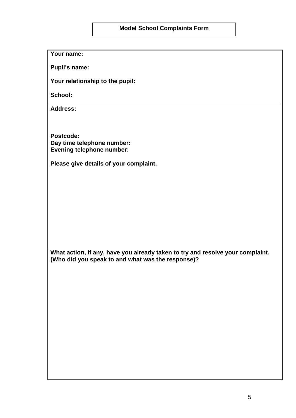#### **Model School Complaints Form**

**Your name:**

**Pupil's name:**

**Your relationship to the pupil:**

**School:**

**Address:**

**Postcode: Day time telephone number: Evening telephone number:**

**Please give details of your complaint.**

**What action, if any, have you already taken to try and resolve your complaint. (Who did you speak to and what was the response)?**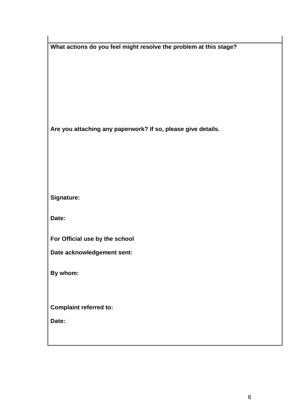| What actions do you feel might resolve the problem at this stage? |
|-------------------------------------------------------------------|
|                                                                   |
|                                                                   |
|                                                                   |
|                                                                   |
|                                                                   |
|                                                                   |
| Are you attaching any paperwork? If so, please give details.      |
|                                                                   |
|                                                                   |
|                                                                   |
|                                                                   |
| Signature:                                                        |
|                                                                   |
| Date:                                                             |
| For Official use by the school                                    |
| Date acknowledgement sent:                                        |
|                                                                   |
| By whom:                                                          |
|                                                                   |
|                                                                   |
| <b>Complaint referred to:</b>                                     |
| Date:                                                             |
|                                                                   |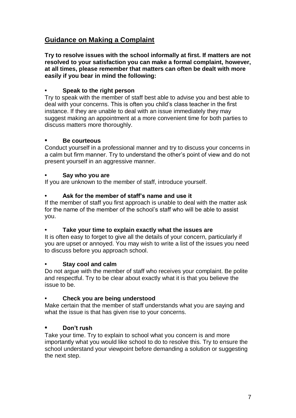# **Guidance on Making a Complaint**

**Try to resolve issues with the school informally at first. If matters are not resolved to your satisfaction you can make a formal complaint, however, at all times, please remember that matters can often be dealt with more easily if you bear in mind the following:**

#### **• Speak to the right person**

Try to speak with the member of staff best able to advise you and best able to deal with your concerns. This is often you child's class teacher in the first instance. If they are unable to deal with an issue immediately they may suggest making an appointment at a more convenient time for both parties to discuss matters more thoroughly.

#### **• Be courteous**

Conduct yourself in a professional manner and try to discuss your concerns in a calm but firm manner. Try to understand the other's point of view and do not present yourself in an aggressive manner.

#### **• Say who you are**

If you are unknown to the member of staff, introduce yourself.

## **• Ask for the member of staff's name and use it**

If the member of staff you first approach is unable to deal with the matter ask for the name of the member of the school's staff who will be able to assist you.

#### **• Take your time to explain exactly what the issues are**

It is often easy to forget to give all the details of your concern, particularly if you are upset or annoyed. You may wish to write a list of the issues you need to discuss before you approach school.

#### **• Stay cool and calm**

Do not argue with the member of staff who receives your complaint. Be polite and respectful. Try to be clear about exactly what it is that you believe the issue to be.

#### **• Check you are being understood**

Make certain that the member of staff understands what you are saying and what the issue is that has given rise to your concerns.

#### **• Don't rush**

Take your time. Try to explain to school what you concern is and more importantly what you would like school to do to resolve this. Try to ensure the school understand your viewpoint before demanding a solution or suggesting the next step.